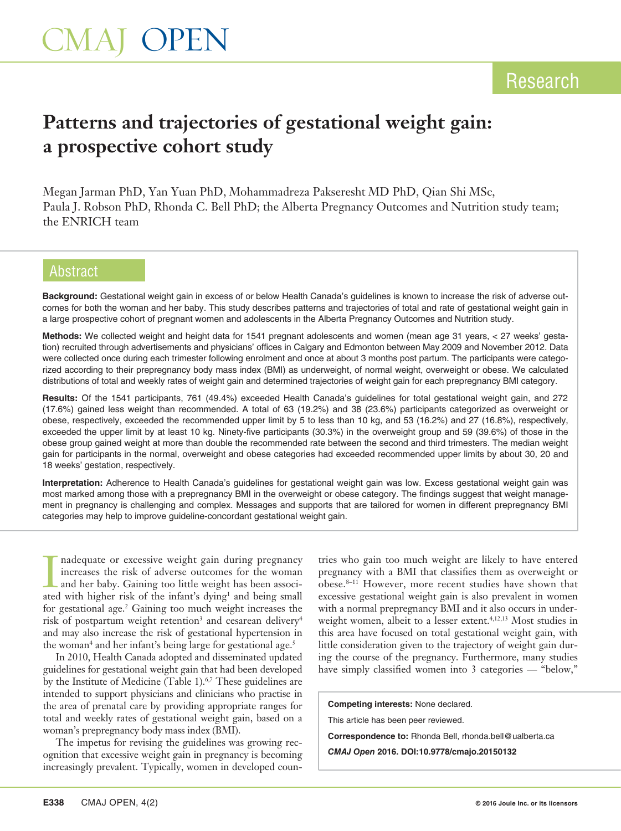# **Patterns and trajectories of gestational weight gain: a prospective cohort study**

Megan Jarman PhD, Yan Yuan PhD, Mohammadreza Pakseresht MD PhD, Qian Shi MSc, Paula J. Robson PhD, Rhonda C. Bell PhD; the Alberta Pregnancy Outcomes and Nutrition study team; the ENRICH team

# Abstract

**Background:** Gestational weight gain in excess of or below Health Canada's guidelines is known to increase the risk of adverse outcomes for both the woman and her baby. This study describes patterns and trajectories of total and rate of gestational weight gain in a large prospective cohort of pregnant women and adolescents in the Alberta Pregnancy Outcomes and Nutrition study.

**Methods:** We collected weight and height data for 1541 pregnant adolescents and women (mean age 31 years, < 27 weeks' gestation) recruited through advertisements and physicians' offices in Calgary and Edmonton between May 2009 and November 2012. Data were collected once during each trimester following enrolment and once at about 3 months post partum. The participants were categorized according to their prepregnancy body mass index (BMI) as underweight, of normal weight, overweight or obese. We calculated distributions of total and weekly rates of weight gain and determined trajectories of weight gain for each prepregnancy BMI category.

**Results:** Of the 1541 participants, 761 (49.4%) exceeded Health Canada's guidelines for total gestational weight gain, and 272 (17.6%) gained less weight than recommended. A total of 63 (19.2%) and 38 (23.6%) participants categorized as overweight or obese, respectively, exceeded the recommended upper limit by 5 to less than 10 kg, and 53 (16.2%) and 27 (16.8%), respectively, exceeded the upper limit by at least 10 kg. Ninety-five participants (30.3%) in the overweight group and 59 (39.6%) of those in the obese group gained weight at more than double the recommended rate between the second and third trimesters. The median weight gain for participants in the normal, overweight and obese categories had exceeded recommended upper limits by about 30, 20 and 18 weeks' gestation, respectively.

**Interpretation:** Adherence to Health Canada's guidelines for gestational weight gain was low. Excess gestational weight gain was most marked among those with a prepregnancy BMI in the overweight or obese category. The findings suggest that weight management in pregnancy is challenging and complex. Messages and supports that are tailored for women in different prepregnancy BMI categories may help to improve guideline-concordant gestational weight gain.

I nadequate or excessive weight gain during pregnancy increases the risk of adverse outcomes for the woman and her baby. Gaining too little weight has been associated with higher risk of the infant's dying<sup>1</sup> and being sma nadequate or excessive weight gain during pregnancy increases the risk of adverse outcomes for the woman and her baby. Gaining too little weight has been associfor gestational age.<sup>2</sup> Gaining too much weight increases the risk of postpartum weight retention<sup>3</sup> and cesarean delivery<sup>4</sup> and may also increase the risk of gestational hypertension in the woman<sup>4</sup> and her infant's being large for gestational age.<sup>5</sup>

In 2010, Health Canada adopted and disseminated updated guidelines for gestational weight gain that had been developed by the Institute of Medicine (Table 1).<sup>6,7</sup> These guidelines are intended to support physicians and clinicians who practise in the area of prenatal care by providing appropriate ranges for total and weekly rates of gestational weight gain, based on a woman's prepregnancy body mass index (BMI).

The impetus for revising the guidelines was growing recognition that excessive weight gain in pregnancy is becoming increasingly prevalent. Typically, women in developed countries who gain too much weight are likely to have entered pregnancy with a BMI that classifies them as overweight or obese.8–11 However, more recent studies have shown that excessive gestational weight gain is also prevalent in women with a normal prepregnancy BMI and it also occurs in underweight women, albeit to a lesser extent.<sup>4,12,13</sup> Most studies in this area have focused on total gestational weight gain, with little consideration given to the trajectory of weight gain during the course of the pregnancy. Furthermore, many studies have simply classified women into 3 categories — "below,"

**Competing interests:** None declared.

This article has been peer reviewed.

**Correspondence to:** Rhonda Bell, rhonda.bell@ualberta.ca

*CMAJ Open* **2016. DOI:10.9778/cmajo.20150132**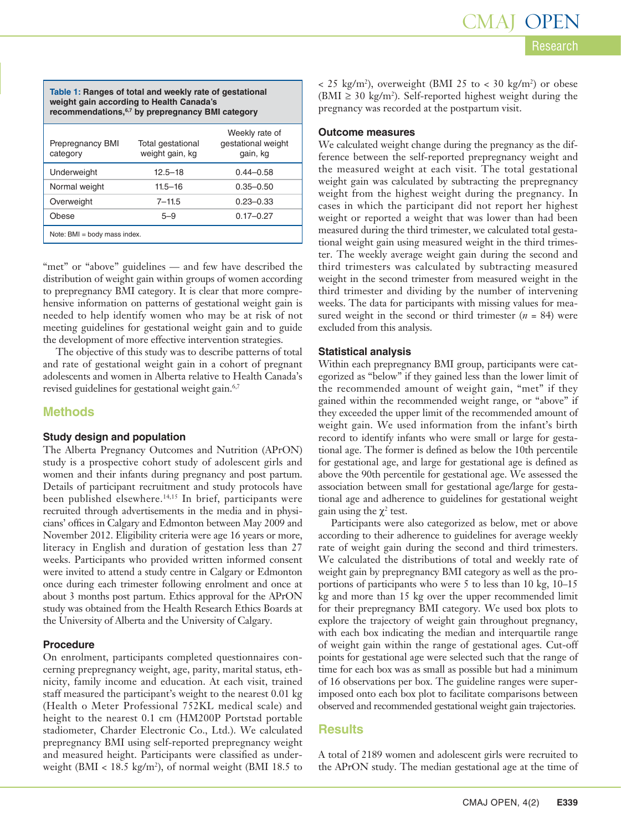| Table 1: Ranges of total and weekly rate of gestational<br>weight gain according to Health Canada's<br>recommendations, <sup>6,7</sup> by prepregnancy BMI category |                                      |                                                  |  |  |  |  |  |
|---------------------------------------------------------------------------------------------------------------------------------------------------------------------|--------------------------------------|--------------------------------------------------|--|--|--|--|--|
| <b>Prepregnancy BMI</b><br>category                                                                                                                                 | Total gestational<br>weight gain, kg | Weekly rate of<br>gestational weight<br>gain, kg |  |  |  |  |  |
| Underweight                                                                                                                                                         | $12.5 - 18$                          | $0.44 - 0.58$                                    |  |  |  |  |  |
| Normal weight                                                                                                                                                       | $11.5 - 16$                          | $0.35 - 0.50$                                    |  |  |  |  |  |
| Overweight                                                                                                                                                          | $7 - 11.5$                           | $0.23 - 0.33$                                    |  |  |  |  |  |
| Obese                                                                                                                                                               | $5 - 9$                              | $0.17 - 0.27$                                    |  |  |  |  |  |
| Note: BMI = body mass index.                                                                                                                                        |                                      |                                                  |  |  |  |  |  |

"met" or "above" guidelines — and few have described the distribution of weight gain within groups of women according to prepregnancy BMI category. It is clear that more comprehensive information on patterns of gestational weight gain is needed to help identify women who may be at risk of not meeting guidelines for gestational weight gain and to guide the development of more effective intervention strategies.

The objective of this study was to describe patterns of total and rate of gestational weight gain in a cohort of pregnant adolescents and women in Alberta relative to Health Canada's revised guidelines for gestational weight gain.<sup>6,7</sup>

### **Methods**

#### **Study design and population**

The Alberta Pregnancy Outcomes and Nutrition (APrON) study is a prospective cohort study of adolescent girls and women and their infants during pregnancy and post partum. Details of participant recruitment and study protocols have been published elsewhere.14,15 In brief, participants were recruited through advertisements in the media and in physicians' offices in Calgary and Edmonton between May 2009 and November 2012. Eligibility criteria were age 16 years or more, literacy in English and duration of gestation less than 27 weeks. Participants who provided written informed consent were invited to attend a study centre in Calgary or Edmonton once during each trimester following enrolment and once at about 3 months post partum. Ethics approval for the APrON study was obtained from the Health Research Ethics Boards at the University of Alberta and the University of Calgary.

### **Procedure**

On enrolment, participants completed questionnaires concerning prepregnancy weight, age, parity, marital status, ethnicity, family income and education. At each visit, trained staff measured the participant's weight to the nearest 0.01 kg (Health o Meter Professional 752KL medical scale) and height to the nearest 0.1 cm (HM200P Portstad portable stadiometer, Charder Electronic Co., Ltd.). We calculated prepregnancy BMI using self-reported prepregnancy weight and measured height. Participants were classified as underweight (BMI < 18.5 kg/m2 ), of normal weight (BMI 18.5 to

 $<$  25 kg/m<sup>2</sup>), overweight (BMI 25 to  $<$  30 kg/m<sup>2</sup>) or obese  $(BMI \geq 30 \text{ kg/m}^2)$ . Self-reported highest weight during the pregnancy was recorded at the postpartum visit.

#### **Outcome measures**

We calculated weight change during the pregnancy as the difference between the self-reported prepregnancy weight and the measured weight at each visit. The total gestational weight gain was calculated by subtracting the prepregnancy weight from the highest weight during the pregnancy. In cases in which the participant did not report her highest weight or reported a weight that was lower than had been measured during the third trimester, we calculated total gestational weight gain using measured weight in the third trimester. The weekly average weight gain during the second and third trimesters was calculated by subtracting measured weight in the second trimester from measured weight in the third trimester and dividing by the number of intervening weeks. The data for participants with missing values for measured weight in the second or third trimester  $(n = 84)$  were excluded from this analysis.

### **Statistical analysis**

Within each prepregnancy BMI group, participants were categorized as "below" if they gained less than the lower limit of the recommended amount of weight gain, "met" if they gained within the recommended weight range, or "above" if they exceeded the upper limit of the recommended amount of weight gain. We used information from the infant's birth record to identify infants who were small or large for gestational age. The former is defined as below the 10th percentile for gestational age, and large for gestational age is defined as above the 90th percentile for gestational age. We assessed the association between small for gestational age/large for gestational age and adherence to guidelines for gestational weight gain using the  $\chi^2$  test.

Participants were also categorized as below, met or above according to their adherence to guidelines for average weekly rate of weight gain during the second and third trimesters. We calculated the distributions of total and weekly rate of weight gain by prepregnancy BMI category as well as the proportions of participants who were 5 to less than 10 kg, 10–15 kg and more than 15 kg over the upper recommended limit for their prepregnancy BMI category. We used box plots to explore the trajectory of weight gain throughout pregnancy, with each box indicating the median and interquartile range of weight gain within the range of gestational ages. Cut-off points for gestational age were selected such that the range of time for each box was as small as possible but had a minimum of 16 observations per box. The guideline ranges were superimposed onto each box plot to facilitate comparisons between observed and recommended gestational weight gain trajectories.

## **Results**

A total of 2189 women and adolescent girls were recruited to the APrON study. The median gestational age at the time of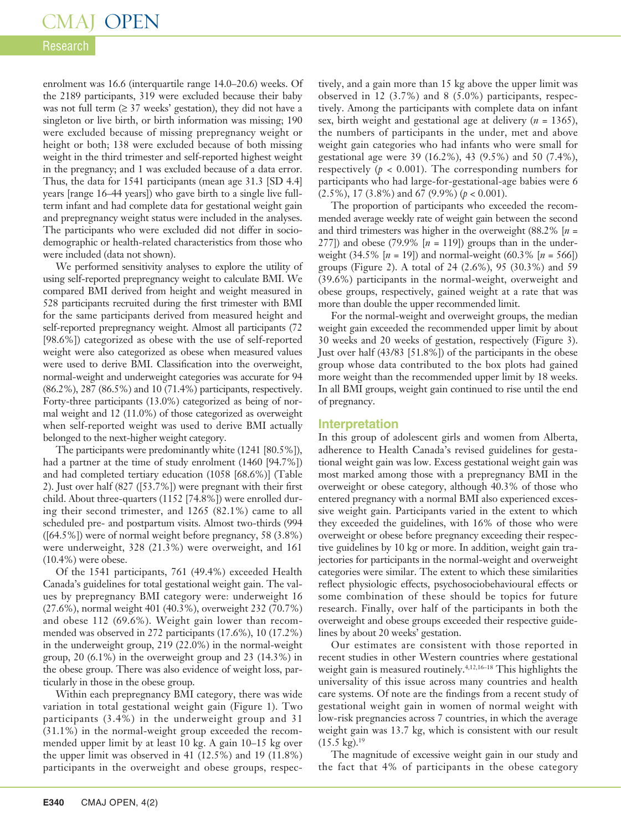# Research

enrolment was 16.6 (interquartile range 14.0–20.6) weeks. Of the 2189 participants, 319 were excluded because their baby was not full term  $(≥ 37$  weeks' gestation), they did not have a singleton or live birth, or birth information was missing; 190 were excluded because of missing prepregnancy weight or height or both; 138 were excluded because of both missing weight in the third trimester and self-reported highest weight in the pregnancy; and 1 was excluded because of a data error. Thus, the data for 1541 participants (mean age 31.3 [SD 4.4] years [range 16–44 years]) who gave birth to a single live fullterm infant and had complete data for gestational weight gain and prepregnancy weight status were included in the analyses. The participants who were excluded did not differ in sociodemographic or health-related characteristics from those who were included (data not shown).

We performed sensitivity analyses to explore the utility of using self-reported prepregnancy weight to calculate BMI. We compared BMI derived from height and weight measured in 528 participants recruited during the first trimester with BMI for the same participants derived from measured height and self-reported prepregnancy weight. Almost all participants (72 [98.6%]) categorized as obese with the use of self-reported weight were also categorized as obese when measured values were used to derive BMI. Classification into the overweight, normal-weight and underweight categories was accurate for 94 (86.2%), 287 (86.5%) and 10 (71.4%) participants, respectively. Forty-three participants (13.0%) categorized as being of normal weight and 12 (11.0%) of those categorized as overweight when self-reported weight was used to derive BMI actually belonged to the next-higher weight category.

The participants were predominantly white (1241 [80.5%]), had a partner at the time of study enrolment (1460 [94.7%]) and had completed tertiary education (1058 [68.6%)] (Table 2). Just over half (827 ([53.7%]) were pregnant with their first child. About three-quarters (1152 [74.8%]) were enrolled during their second trimester, and 1265 (82.1%) came to all scheduled pre- and postpartum visits. Almost two-thirds (994 ([64.5%]) were of normal weight before pregnancy, 58 (3.8%) were underweight, 328 (21.3%) were overweight, and 161 (10.4%) were obese.

Of the 1541 participants, 761 (49.4%) exceeded Health Canada's guidelines for total gestational weight gain. The values by prepregnancy BMI category were: underweight 16 (27.6%), normal weight 401 (40.3%), overweight 232 (70.7%) and obese 112 (69.6%). Weight gain lower than recommended was observed in 272 participants (17.6%), 10 (17.2%) in the underweight group, 219 (22.0%) in the normal-weight group, 20 (6.1%) in the overweight group and 23 (14.3%) in the obese group. There was also evidence of weight loss, particularly in those in the obese group.

Within each prepregnancy BMI category, there was wide variation in total gestational weight gain (Figure 1). Two participants (3.4%) in the underweight group and 31 (31.1%) in the normal-weight group exceeded the recommended upper limit by at least 10 kg. A gain 10–15 kg over the upper limit was observed in 41 (12.5%) and 19 (11.8%) participants in the overweight and obese groups, respectively, and a gain more than 15 kg above the upper limit was observed in 12 (3.7%) and 8 (5.0%) participants, respectively. Among the participants with complete data on infant sex, birth weight and gestational age at delivery (*n* = 1365), the numbers of participants in the under, met and above weight gain categories who had infants who were small for gestational age were 39 (16.2%), 43 (9.5%) and 50 (7.4%), respectively  $(p < 0.001)$ . The corresponding numbers for participants who had large-for-gestational-age babies were 6 (2.5%), 17 (3.8%) and 67 (9.9%) (*p* < 0.001).

The proportion of participants who exceeded the recommended average weekly rate of weight gain between the second and third trimesters was higher in the overweight (88.2% [*n* = 277]) and obese (79.9%  $[n = 119]$ ) groups than in the underweight (34.5% [*n* = 19]) and normal-weight (60.3% [*n* = 566]) groups (Figure 2). A total of 24 (2.6%), 95 (30.3%) and 59 (39.6%) participants in the normal-weight, overweight and obese groups, respectively, gained weight at a rate that was more than double the upper recommended limit.

For the normal-weight and overweight groups, the median weight gain exceeded the recommended upper limit by about 30 weeks and 20 weeks of gestation, respectively (Figure 3). Just over half (43/83 [51.8%]) of the participants in the obese group whose data contributed to the box plots had gained more weight than the recommended upper limit by 18 weeks. In all BMI groups, weight gain continued to rise until the end of pregnancy.

#### **Interpretation**

In this group of adolescent girls and women from Alberta, adherence to Health Canada's revised guidelines for gestational weight gain was low. Excess gestational weight gain was most marked among those with a prepregnancy BMI in the overweight or obese category, although 40.3% of those who entered pregnancy with a normal BMI also experienced excessive weight gain. Participants varied in the extent to which they exceeded the guidelines, with 16% of those who were overweight or obese before pregnancy exceeding their respective guidelines by 10 kg or more. In addition, weight gain trajectories for participants in the normal-weight and overweight categories were similar. The extent to which these similarities reflect physiologic effects, psychosociobehavioural effects or some combination of these should be topics for future research. Finally, over half of the participants in both the overweight and obese groups exceeded their respective guidelines by about 20 weeks' gestation.

Our estimates are consistent with those reported in recent studies in other Western countries where gestational weight gain is measured routinely.<sup>4,12,16-18</sup> This highlights the universality of this issue across many countries and health care systems. Of note are the findings from a recent study of gestational weight gain in women of normal weight with low-risk pregnancies across 7 countries, in which the average weight gain was 13.7 kg, which is consistent with our result  $(15.5 \text{ kg})$ .<sup>19</sup>

The magnitude of excessive weight gain in our study and the fact that 4% of participants in the obese category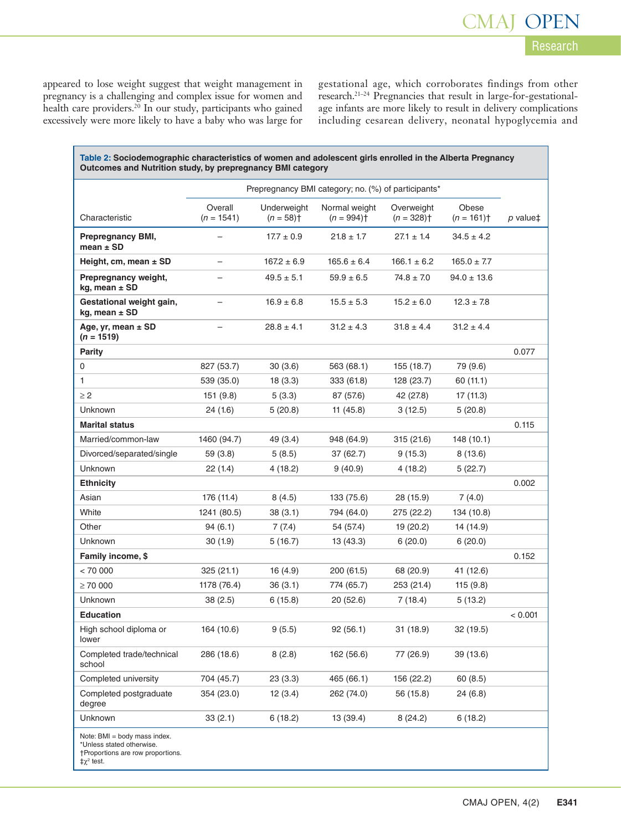appeared to lose weight suggest that weight management in pregnancy is a challenging and complex issue for women and health care providers.<sup>20</sup> In our study, participants who gained excessively were more likely to have a baby who was large for

gestational age, which corroborates findings from other research.21–24 Pregnancies that result in large-for-gestationalage infants are more likely to result in delivery complications including cesarean delivery, neonatal hypoglycemia and

Research

CMAJ OPEN

| Table 2: Sociodemographic characteristics of women and adolescent girls enrolled in the Alberta Pregnancy<br>Outcomes and Nutrition study, by prepregnancy BMI category |                                                     |                                        |                                           |                             |                        |          |  |  |
|-------------------------------------------------------------------------------------------------------------------------------------------------------------------------|-----------------------------------------------------|----------------------------------------|-------------------------------------------|-----------------------------|------------------------|----------|--|--|
|                                                                                                                                                                         | Prepregnancy BMI category; no. (%) of participants* |                                        |                                           |                             |                        |          |  |  |
| Characteristic                                                                                                                                                          | Overall<br>$(n = 1541)$                             | Underweight<br>$(n = 58)$ <sup>+</sup> | Normal weight<br>$(n = 994)$ <sup>+</sup> | Overweight<br>$(n = 328)$ † | Obese<br>$(n = 161)$ † | p value‡ |  |  |
| <b>Prepregnancy BMI,</b><br>mean $\pm$ SD                                                                                                                               |                                                     | $17.7 \pm 0.9$                         | $21.8 \pm 1.7$                            | $27.1 \pm 1.4$              | $34.5 \pm 4.2$         |          |  |  |
| Height, cm, mean $\pm$ SD                                                                                                                                               | ۳                                                   | $167.2 \pm 6.9$                        | $165.6 \pm 6.4$                           | $166.1 \pm 6.2$             | $165.0 \pm 7.7$        |          |  |  |
| Prepregnancy weight,<br>kg, mean $\pm$ SD                                                                                                                               |                                                     | $49.5 \pm 5.1$                         | $59.9 \pm 6.5$                            | $74.8 \pm 7.0$              | $94.0 \pm 13.6$        |          |  |  |
| Gestational weight gain,<br>kg, mean $\pm$ SD                                                                                                                           |                                                     | $16.9 \pm 6.8$                         | $15.5 \pm 5.3$                            | $15.2 \pm 6.0$              | $12.3 \pm 7.8$         |          |  |  |
| Age, yr, mean $\pm$ SD<br>$(n = 1519)$                                                                                                                                  |                                                     | $28.8 \pm 4.1$                         | $31.2 \pm 4.3$                            | $31.8 \pm 4.4$              | $31.2 \pm 4.4$         |          |  |  |
| <b>Parity</b>                                                                                                                                                           |                                                     |                                        |                                           |                             |                        | 0.077    |  |  |
| 0                                                                                                                                                                       | 827 (53.7)                                          | 30(3.6)                                | 563 (68.1)                                | 155 (18.7)                  | 79 (9.6)               |          |  |  |
| 1                                                                                                                                                                       | 539 (35.0)                                          | 18(3.3)                                | 333 (61.8)                                | 128 (23.7)                  | 60 (11.1)              |          |  |  |
| $\geq$ 2                                                                                                                                                                | 151(9.8)                                            | 5(3.3)                                 | 87 (57.6)                                 | 42 (27.8)                   | 17 (11.3)              |          |  |  |
| Unknown                                                                                                                                                                 | 24 (1.6)                                            | 5(20.8)                                | 11(45.8)                                  | 3 (12.5)                    | 5 (20.8)               |          |  |  |
| <b>Marital status</b>                                                                                                                                                   |                                                     |                                        |                                           |                             |                        | 0.115    |  |  |
| Married/common-law                                                                                                                                                      | 1460 (94.7)                                         | 49 (3.4)                               | 948 (64.9)                                | 315(21.6)                   | 148 (10.1)             |          |  |  |
| Divorced/separated/single                                                                                                                                               | 59 (3.8)                                            | 5(8.5)                                 | 37 (62.7)                                 | 9(15.3)                     | 8(13.6)                |          |  |  |
| Unknown                                                                                                                                                                 | 22(1.4)                                             | 4(18.2)                                | 9(40.9)                                   | 4(18.2)                     | 5 (22.7)               |          |  |  |
| <b>Ethnicity</b>                                                                                                                                                        |                                                     |                                        |                                           |                             |                        | 0.002    |  |  |
| Asian                                                                                                                                                                   | 176 (11.4)                                          | 8(4.5)                                 | 133 (75.6)                                | 28 (15.9)                   | 7 (4.0)                |          |  |  |
| White                                                                                                                                                                   | 1241 (80.5)                                         | 38 (3.1)                               | 794 (64.0)                                | 275 (22.2)                  | 134 (10.8)             |          |  |  |
| Other                                                                                                                                                                   | 94(6.1)                                             | 7(7.4)                                 | 54 (57.4)                                 | 19 (20.2)                   | 14 (14.9)              |          |  |  |
| Unknown                                                                                                                                                                 | 30(1.9)                                             | 5(16.7)                                | 13 (43.3)                                 | 6(20.0)                     | 6(20.0)                |          |  |  |
| Family income, \$                                                                                                                                                       |                                                     |                                        |                                           |                             |                        | 0.152    |  |  |
| < 70000                                                                                                                                                                 | 325 (21.1)                                          | 16(4.9)                                | 200 (61.5)                                | 68 (20.9)                   | 41 (12.6)              |          |  |  |
| $\geq 70000$                                                                                                                                                            | 1178 (76.4)                                         | 36(3.1)                                | 774 (65.7)                                | 253 (21.4)                  | 115(9.8)               |          |  |  |
| Unknown                                                                                                                                                                 | 38(2.5)                                             | 6(15.8)                                | 20(52.6)                                  | 7(18.4)                     | 5(13.2)                |          |  |  |
| <b>Education</b>                                                                                                                                                        |                                                     |                                        |                                           |                             |                        | < 0.001  |  |  |
| High school diploma or<br>lower                                                                                                                                         | 164 (10.6)                                          | 9(5.5)                                 | 92(56.1)                                  | 31 (18.9)                   | 32 (19.5)              |          |  |  |
| Completed trade/technical<br>school                                                                                                                                     | 286 (18.6)                                          | 8(2.8)                                 | 162 (56.6)                                | 77 (26.9)                   | 39 (13.6)              |          |  |  |
| Completed university                                                                                                                                                    | 704 (45.7)                                          | 23(3.3)                                | 465 (66.1)                                | 156 (22.2)                  | 60(8.5)                |          |  |  |
| Completed postgraduate<br>degree                                                                                                                                        | 354 (23.0)                                          | 12(3.4)                                | 262 (74.0)                                | 56 (15.8)                   | 24 (6.8)               |          |  |  |
| Unknown                                                                                                                                                                 | 33(2.1)                                             | 6(18.2)                                | 13 (39.4)                                 | 8(24.2)                     | 6(18.2)                |          |  |  |
| Note: BMI = body mass index.<br>*Unless stated otherwise.<br>†Proportions are row proportions.<br>$\ddagger \chi^2$ test.                                               |                                                     |                                        |                                           |                             |                        |          |  |  |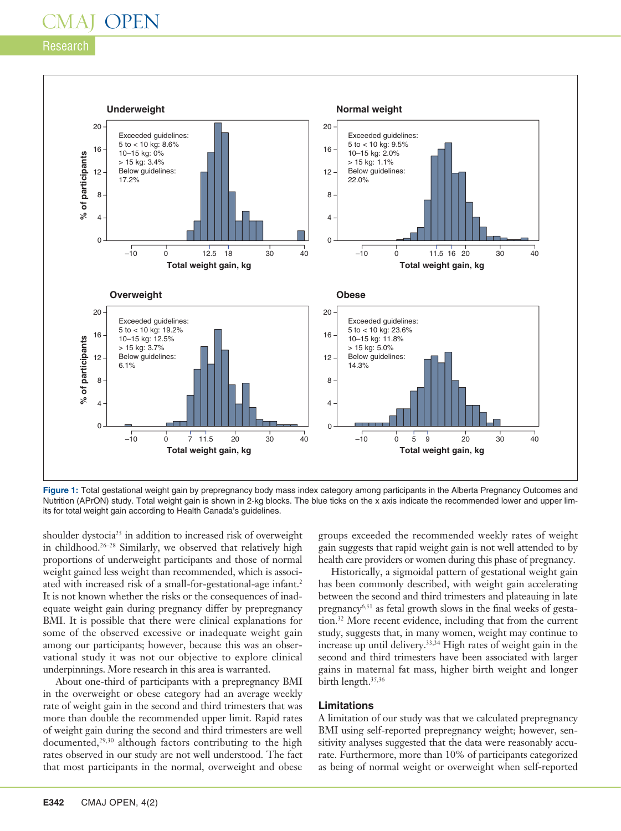### Research



**Figure 1:** Total gestational weight gain by prepregnancy body mass index category among participants in the Alberta Pregnancy Outcomes and Nutrition (APrON) study. Total weight gain is shown in 2-kg blocks. The blue ticks on the x axis indicate the recommended lower and upper limits for total weight gain according to Health Canada's guidelines.

shoulder dystocia<sup>25</sup> in addition to increased risk of overweight in childhood.26–28 Similarly, we observed that relatively high proportions of underweight participants and those of normal weight gained less weight than recommended, which is associated with increased risk of a small-for-gestational-age infant.2 It is not known whether the risks or the consequences of inadequate weight gain during pregnancy differ by prepregnancy BMI. It is possible that there were clinical explanations for some of the observed excessive or inadequate weight gain among our participants; however, because this was an observational study it was not our objective to explore clinical underpinnings. More research in this area is warranted.

About one-third of participants with a prepregnancy BMI in the overweight or obese category had an average weekly rate of weight gain in the second and third trimesters that was more than double the recommended upper limit. Rapid rates of weight gain during the second and third trimesters are well documented,<sup>29,30</sup> although factors contributing to the high rates observed in our study are not well understood. The fact that most participants in the normal, overweight and obese

groups exceeded the recommended weekly rates of weight gain suggests that rapid weight gain is not well attended to by health care providers or women during this phase of pregnancy.

Historically, a sigmoidal pattern of gestational weight gain has been commonly described, with weight gain accelerating between the second and third trimesters and plateauing in late pregnancy<sup>6,31</sup> as fetal growth slows in the final weeks of gestation.32 More recent evidence, including that from the current study, suggests that, in many women, weight may continue to increase up until delivery.33,34 High rates of weight gain in the second and third trimesters have been associated with larger gains in maternal fat mass, higher birth weight and longer birth length.<sup>35,36</sup>

#### **Limitations**

A limitation of our study was that we calculated prepregnancy BMI using self-reported prepregnancy weight; however, sensitivity analyses suggested that the data were reasonably accurate. Furthermore, more than 10% of participants categorized as being of normal weight or overweight when self-reported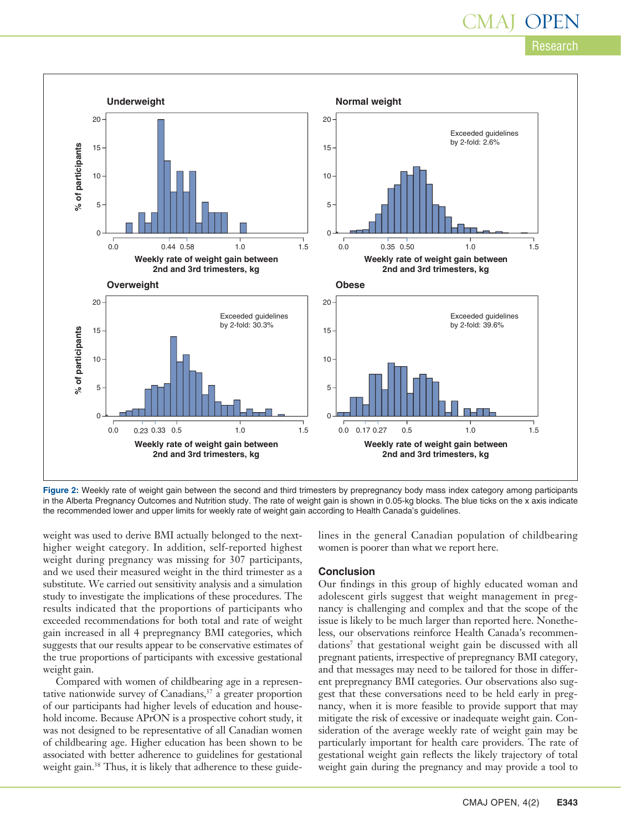# Research CMAJ -



**Figure 2:** Weekly rate of weight gain between the second and third trimesters by prepregnancy body mass index category among participants in the Alberta Pregnancy Outcomes and Nutrition study. The rate of weight gain is shown in 0.05-kg blocks. The blue ticks on the x axis indicate the recommended lower and upper limits for weekly rate of weight gain according to Health Canada's guidelines.

weight was used to derive BMI actually belonged to the nexthigher weight category. In addition, self-reported highest weight during pregnancy was missing for 307 participants, and we used their measured weight in the third trimester as a substitute. We carried out sensitivity analysis and a simulation study to investigate the implications of these procedures. The results indicated that the proportions of participants who exceeded recommendations for both total and rate of weight gain increased in all 4 prepregnancy BMI categories, which suggests that our results appear to be conservative estimates of the true proportions of participants with excessive gestational weight gain.

Compared with women of childbearing age in a representative nationwide survey of Canadians, $37$  a greater proportion of our participants had higher levels of education and household income. Because APrON is a prospective cohort study, it was not designed to be representative of all Canadian women of childbearing age. Higher education has been shown to be associated with better adherence to guidelines for gestational weight gain.<sup>38</sup> Thus, it is likely that adherence to these guidelines in the general Canadian population of childbearing women is poorer than what we report here.

#### **Conclusion**

Our findings in this group of highly educated woman and adolescent girls suggest that weight management in pregnancy is challenging and complex and that the scope of the issue is likely to be much larger than reported here. Nonetheless, our observations reinforce Health Canada's recommendations7 that gestational weight gain be discussed with all pregnant patients, irrespective of prepregnancy BMI category, and that messages may need to be tailored for those in different prepregnancy BMI categories. Our observations also suggest that these conversations need to be held early in pregnancy, when it is more feasible to provide support that may mitigate the risk of excessive or inadequate weight gain. Consideration of the average weekly rate of weight gain may be particularly important for health care providers. The rate of gestational weight gain reflects the likely trajectory of total weight gain during the pregnancy and may provide a tool to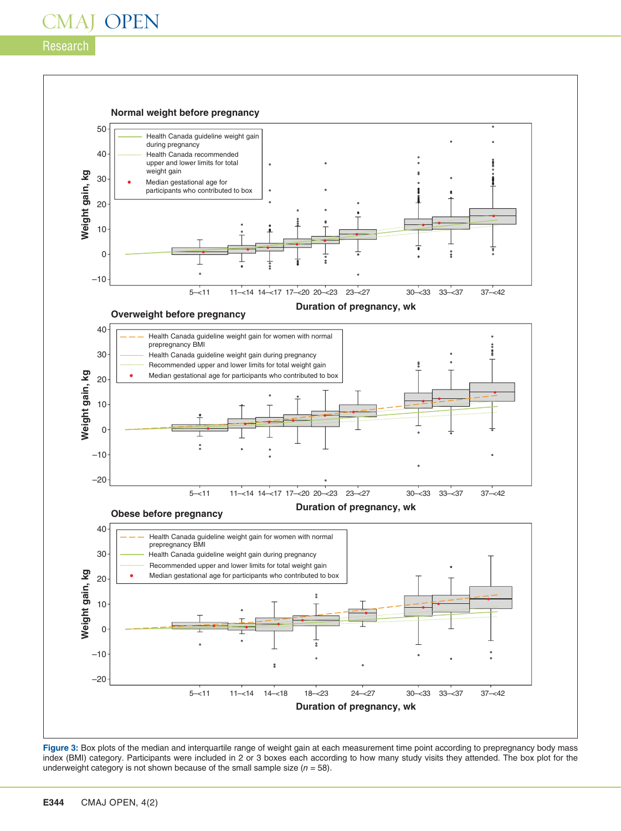## Research



Figure 3: Box plots of the median and interquartile range of weight gain at each measurement time point according to prepregnancy body mass index (BMI) category. Participants were included in 2 or 3 boxes each according to how many study visits they attended. The box plot for the underweight category is not shown because of the small sample size (*n* = 58).